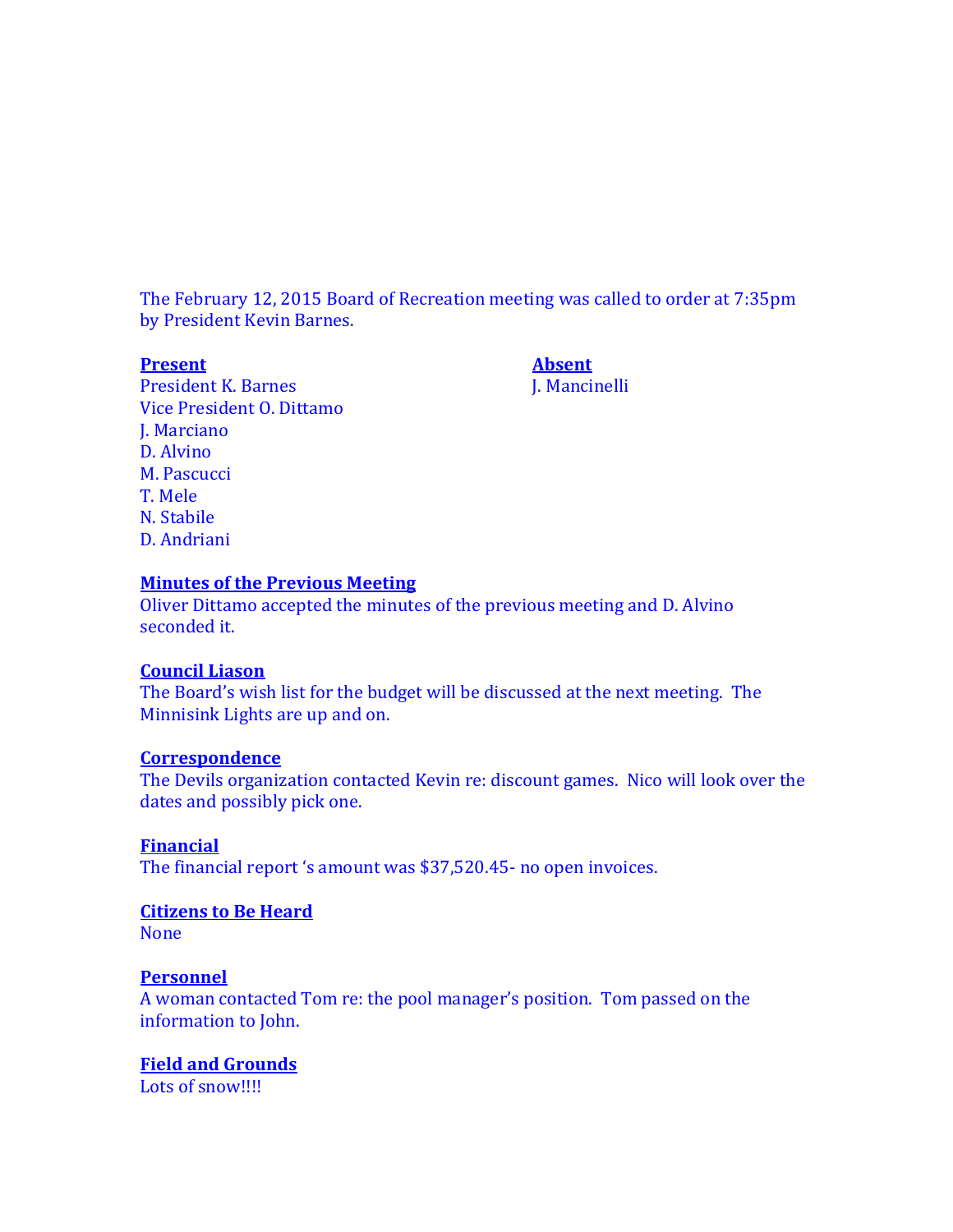The February 12, 2015 Board of Recreation meeting was called to order at 7:35pm by President Kevin Barnes.

**Present Absent** President K. Barnes J. Mancinelli Vice President O. Dittamo J. Marciano D. Alvino M. Pascucci T. Mele N. Stabile D. Andriani

#### **Minutes of the Previous Meeting**

Oliver Dittamo accepted the minutes of the previous meeting and D. Alvino seconded it.

#### **Council Liason**

The Board's wish list for the budget will be discussed at the next meeting. The Minnisink Lights are up and on.

#### **Correspondence**

The Devils organization contacted Kevin re: discount games. Nico will look over the dates and possibly pick one.

## **Financial**

The financial report 's amount was \$37,520.45- no open invoices.

## **Citizens to Be Heard**

None

## **Personnel**

A woman contacted Tom re: the pool manager's position. Tom passed on the information to John.

## **Field and Grounds**

Lots of snow!!!!